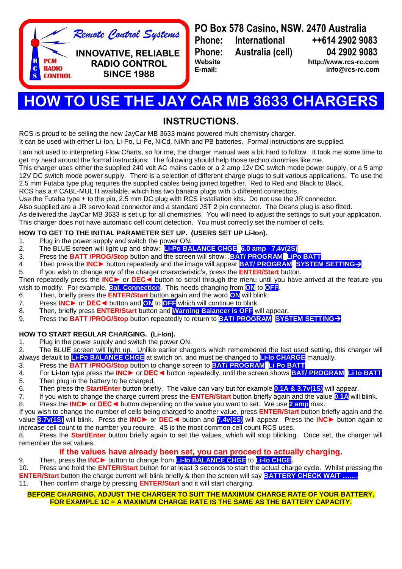

**PO Box 578 Casino, NSW. 2470 Australia Phone: International ++614 2902 9083 Phone: Australia (cell) 04 2902 9083 Website [http://www.rcs-rc.com](http://www.rcs-rc.com/)**

**E-mail: info@rcs-rc.com**

# **HOW TO USE THE JAY CAR MB 3633 CHARGERS**

## **INSTRUCTIONS.**

RCS is proud to be selling the new JayCar MB 3633 mains powered multi chemistry charger.

It can be used with either Li-Ion, Li-Po, Li-Fe, NiCd, NiMh and PB batteries. Formal instructions are supplied.

I am not used to interpreting Flow Charts, so for me, the charger manual was a bit hard to follow. It took me some time to get my head around the formal instructions. The following should help those techno dummies like me.

This charger uses either the supplied 240 volt AC mains cable or a 2 amp 12v DC switch mode power supply, or a 5 amp 12V DC switch mode power supply. There is a selection of different charge plugs to suit various applications. To use the 2.5 mm Futaba type plug requires the supplied cables being joined together. Red to Red and Black to Black.

RCS has a # CABL-MULTI available, which has two banana plugs with 5 different connectors.

Use the Futaba type + to the pin, 2.5 mm DC plug with RCS installation kits. Do not use the JR connector.

Also supplied are a JR servo lead connector and a standard JST 2 pin connector. The Deans plug is also fitted.

As delivered the JayCar MB 3633 is set up for all chemistries. You will need to adjust the settings to suit your application. This charger does not have automatic cell count detection. You must correctly set the number of cells.

## **HOW TO GET TO THE INITIAL PARAMETER SET UP. (USERS SET UP Li-Ion).**

- 1. Plug in the power supply and switch the power ON.
- 2. The BLUE screen will light up and show: **Li-Po BALANCE CHGE 6.0 amp 7.4v(2S)**
- 3. Press the **BATT /PROG/Stop** button and the screen will show: .**BAT/ PROGRAM LiPo BATT**
- 4 Then press the **INC►** button repeatedly and the image will appear **BAT/ PROGRAM SYSTEM SETTING**
- 5. If you wish to change any of the charger characteristic's, press the **ENTER/Start** button.

Then repeatedly press the **INC►** or **DEC◄** button to scroll through the menu until you have arrived at the feature you wish to modify. For example, **Bal. Connection**. This needs changing from **ON** to **OFF**.

- 6. Then, briefly press the **ENTER/Start** button again and the word **ON** will blink.
- 7. Press **INC►** or **DEC◄** button and **ON** to **OFF** which will continue to blink.
- 8. Then, briefly press **ENTER/Start** button and **Warning Balancer is OFF** will appear.
- 9. Press the **BATT /PROG/Stop** button repeatedly to return to **BAT/ PROGRAM SYSTEM SETTING**

## **HOW TO START REGULAR CHARGING. (Li-Ion).**

1. Plug in the power supply and switch the power ON.

2. The BLUE screen will light up. Unlike earlier chargers which remembered the last used setting, this charger will always default to **Li-Po BALANCE CHGE** at switch on, and must be changed to **Li-Io CHARGE** manually.

- 3. Press the **BATT /PROG/Stop** button to change screen to **BAT/ PROGRAM Li Po BATT**
- 4. For **Li-Ion** type press the **INC►** or **DEC◄** button repeatedly, until the screen shows **BAT/ PROGRAM Li Io BATT**
- 5. Then plug in the battery to be charged.
- 6. Then press the **Start/Enter** button briefly. The value can vary but for example **0.1A & 3.7v(1S)** will appear.
- 7. If you wish to change the charge current press the **ENTER/Start** button briefly again and the value **0.1A** will blink. 8. Press the **INC►** or **DEC◄** button depending on the value you want to set. We use **2 amp** max.

If you wish to change the number of cells being charged to another value, press **ENTER/Start** button briefly again and the value **3.7v(1S)** will blink. Press the **INC►** or **DEC◄** button and **7.4v(2S)** will appear. Press the **INC►** button again to increase cell count to the number you require. 4S is the most common cell count RCS uses.

8. Press the **Start/Enter** button briefly again to set the values, which will stop blinking. Once set, the charger will remember the set values.

## **If the values have already been set, you can proceed to actually charging.**

9. Then, press the **INC►** button to change from **Li-Io BALANCE CHGE** to **Li-Io CHGE.**

10. Press and hold the **ENTER/Start** button for at least 3 seconds to start the actual charge cycle. Whilst pressing the **ENTER/Start** button the charge current will blink briefly & then the screen will say **BATTERY CHECK WAIT …….** 11. Then confirm charge by pressing **ENTER/Start** and it will start charging.

### **BEFORE CHARGING, ADJUST THE CHARGER TO SUIT THE MAXIMUM CHARGE RATE OF YOUR BATTERY. FOR EXAMPLE 1C = A MAXIMUM CHARGE RATE IS THE SAME AS THE BATTERY CAPACITY.**